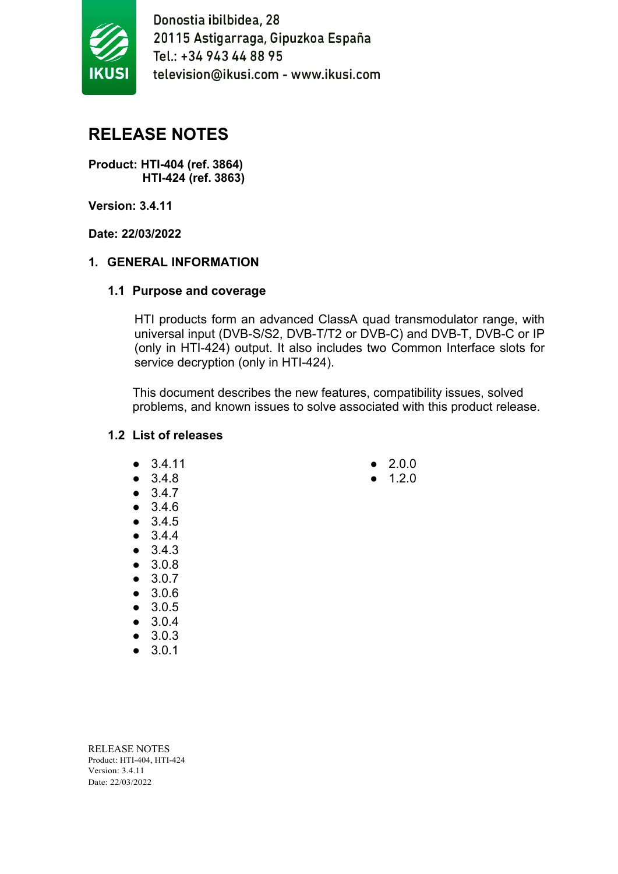

# **RELEASE NOTES**

**Product: HTI-404 (ref. 3864) HTI-424 (ref. 3863)**

**Version: 3.4.11**

**Date: 22/03/2022**

#### **1. GENERAL INFORMATION**

#### **1.1 Purpose and coverage**

HTI products form an advanced ClassA quad transmodulator range, with universal input (DVB-S/S2, DVB-T/T2 or DVB-C) and DVB-T, DVB-C or IP (only in HTI-424) output. It also includes two Common Interface slots for service decryption (only in HTI-424).

This document describes the new features, compatibility issues, solved problems, and known issues to solve associated with this product release.

#### **1.2 List of releases**

- 3.4.11
- 3.4.8
- 3.4.7
- 3.4.6
- 3.4.5
- 3.4.4
- 3.4.3
- 3.0.8
- 3.0.7
- 3.0.6
- 3.0.5
- 3.0.4
- 3.0.3
- 3.0.1

- 2.0.0
- $1.2.0$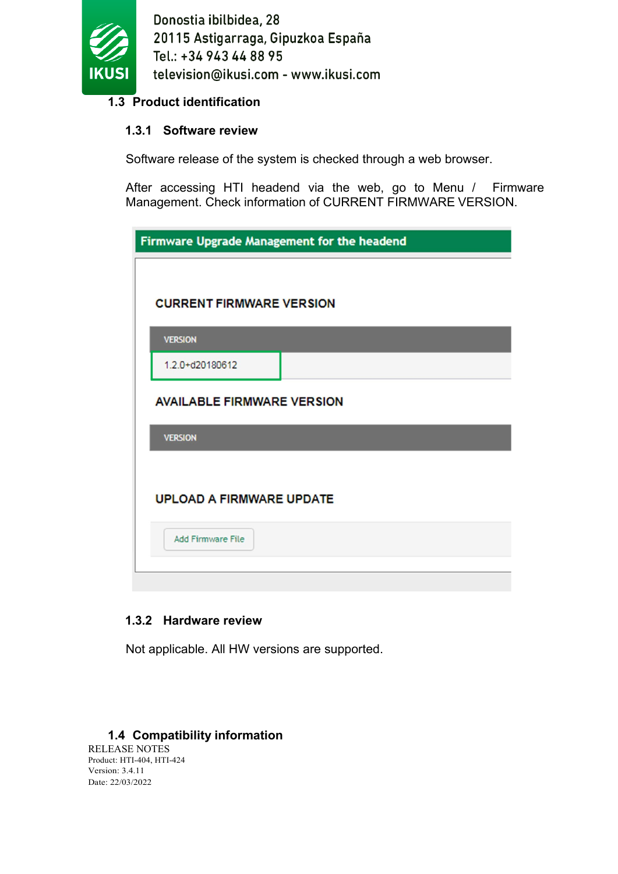

## **1.3 Product identification**

## **1.3.1 Software review**

Software release of the system is checked through a web browser.

After accessing HTI headend via the web, go to Menu / Firmware Management. Check information of CURRENT FIRMWARE VERSION.

| Firmware Upgrade Management for the headend |  |  |
|---------------------------------------------|--|--|
|                                             |  |  |
| <b>CURRENT FIRMWARE VERSION</b>             |  |  |
| <b>VERSION</b>                              |  |  |
| 1.2.0+d20180612                             |  |  |
| <b>AVAILABLE FIRMWARE VERSION</b>           |  |  |
| <b>VERSION</b>                              |  |  |
|                                             |  |  |
| <b>UPLOAD A FIRMWARE UPDATE</b>             |  |  |
| <b>Add Firmware File</b>                    |  |  |
|                                             |  |  |

## **1.3.2 Hardware review**

Not applicable. All HW versions are supported.

#### **1.4 Compatibility information**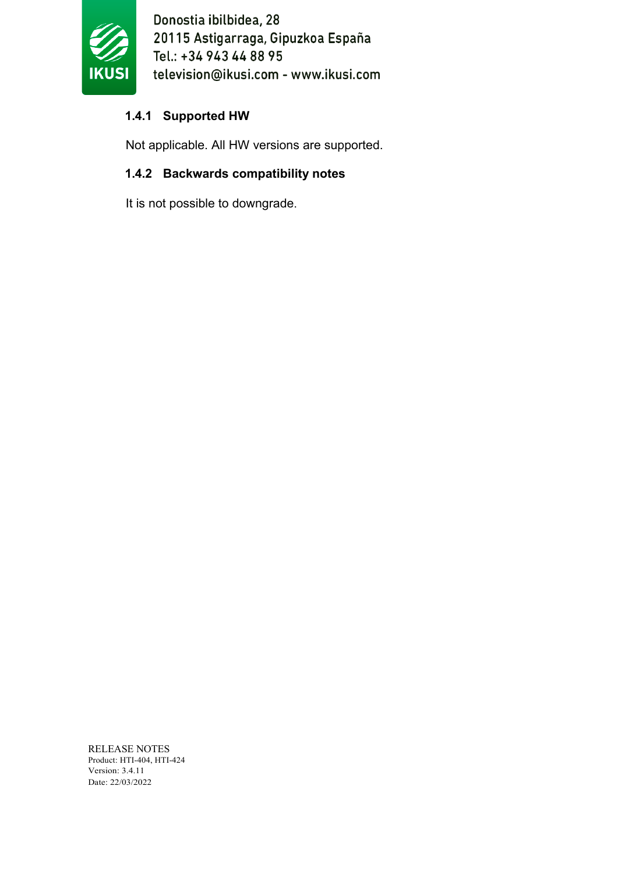

# **1.4.1 Supported HW**

Not applicable. All HW versions are supported.

# **1.4.2 Backwards compatibility notes**

It is not possible to downgrade.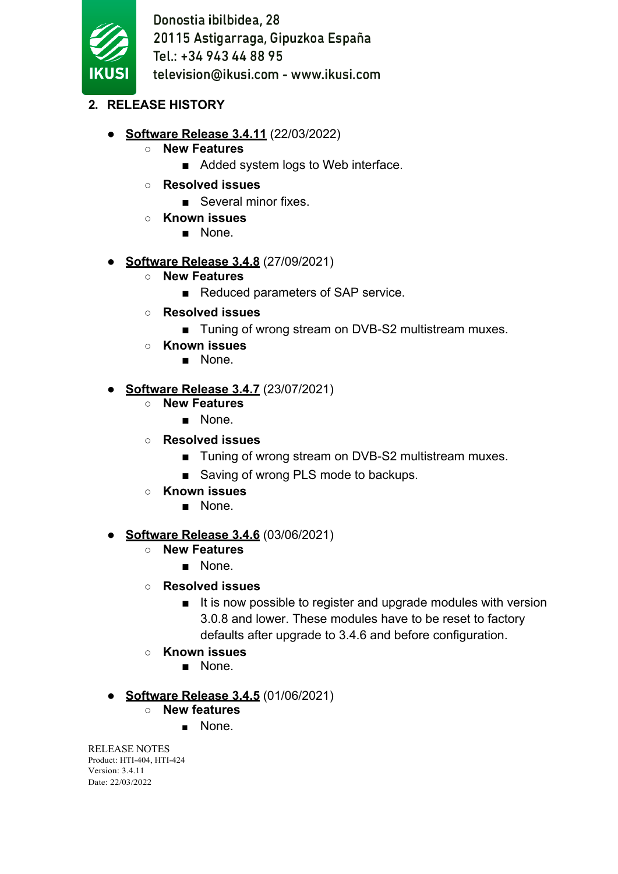

- **2. RELEASE HISTORY**
	- **Software Release 3.4.11** (22/03/2022)
		- **New Features**
			- Added system logs to Web interface.
		- **Resolved issues**
			- Several minor fixes.
		- **Known issues**
			- None.
	- **Software Release 3.4.8** (27/09/2021)
		- **New Features**
			- Reduced parameters of SAP service.
		- **Resolved issues**
			- Tuning of wrong stream on DVB-S2 multistream muxes.
		- **Known issues**
			- None.

#### ● **Software Release 3.4.7** (23/07/2021)

- **New Features**
	- None.
- **Resolved issues**
	- Tuning of wrong stream on DVB-S2 multistream muxes.
	- Saving of wrong PLS mode to backups.
- **Known issues**
	- None.

## ● **Software Release 3.4.6** (03/06/2021)

- **New Features**
	- None.
- **Resolved issues**
	- It is now possible to register and upgrade modules with version 3.0.8 and lower. These modules have to be reset to factory defaults after upgrade to 3.4.6 and before configuration.
- **Known issues**
	- None.

## ● **Software Release 3.4.5** (01/06/2021)

- **New features**
	- None.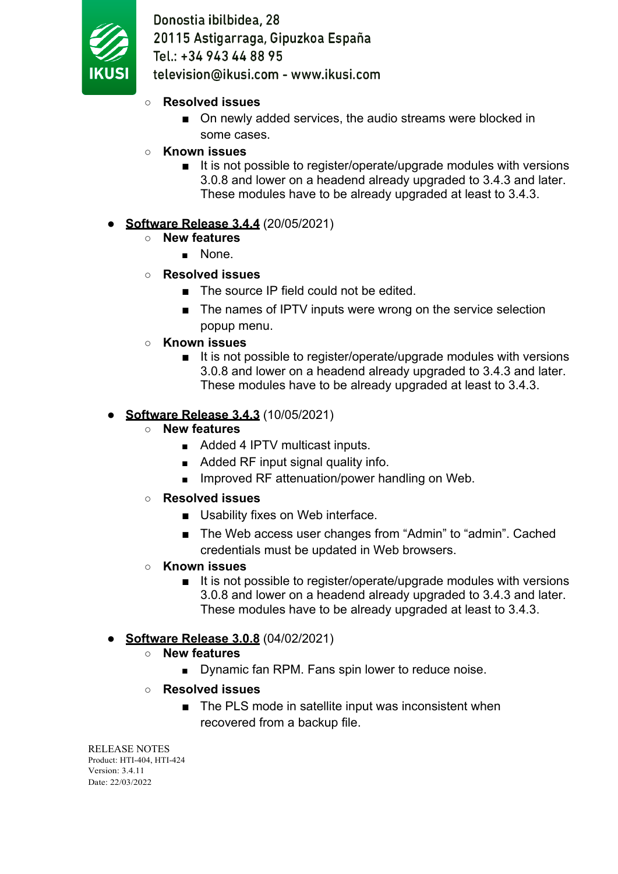

- **Resolved issues**
	- On newly added services, the audio streams were blocked in some cases.
- **Known issues**
	- It is not possible to register/operate/upgrade modules with versions 3.0.8 and lower on a headend already upgraded to 3.4.3 and later. These modules have to be already upgraded at least to 3.4.3.

# **Software Release 3.4.4 (20/05/2021)**

- **New features**
	- None.
- **Resolved issues**
	- The source IP field could not be edited.
	- The names of IPTV inputs were wrong on the service selection popup menu.
- **Known issues**
	- It is not possible to register/operate/upgrade modules with versions 3.0.8 and lower on a headend already upgraded to 3.4.3 and later. These modules have to be already upgraded at least to 3.4.3.

# ● **Software Release 3.4.3** (10/05/2021)

- **New features**
	- Added 4 IPTV multicast inputs.
	- Added RF input signal quality info.
	- Improved RF attenuation/power handling on Web.
- **Resolved issues**
	- Usability fixes on Web interface.
	- The Web access user changes from "Admin" to "admin". Cached credentials must be updated in Web browsers.
- **Known issues**
	- It is not possible to register/operate/upgrade modules with versions 3.0.8 and lower on a headend already upgraded to 3.4.3 and later. These modules have to be already upgraded at least to 3.4.3.

## ● **Software Release 3.0.8** (04/02/2021)

- **New features**
	- Dynamic fan RPM. Fans spin lower to reduce noise.
- **Resolved issues**
	- The PLS mode in satellite input was inconsistent when recovered from a backup file.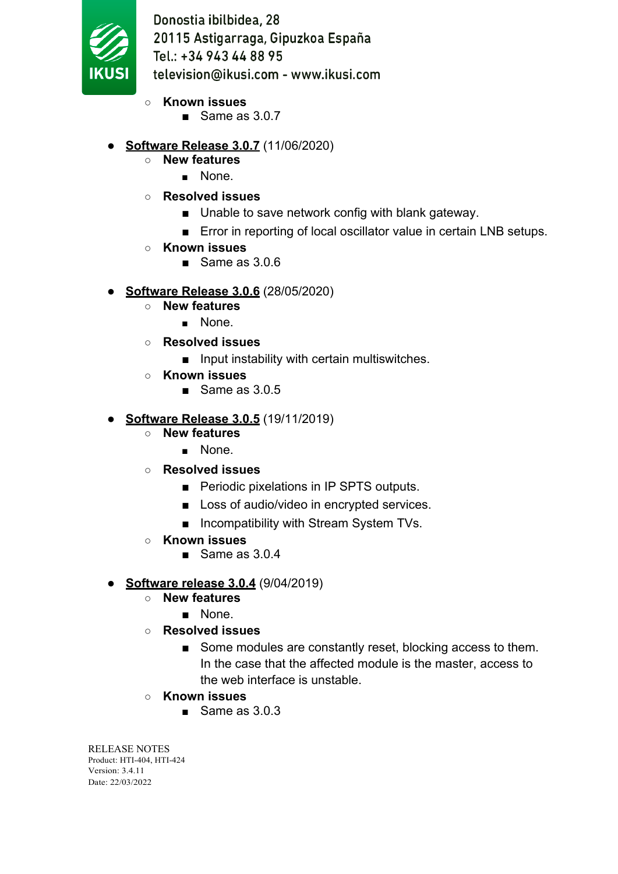

- **Known issues**
	- Same as 3.0.7
- **Software Release 3.0.7** (11/06/2020)
	- **New features**
		- None.
	- **Resolved issues**
		- Unable to save network config with blank gateway.
		- Error in reporting of local oscillator value in certain LNB setups.
	- **Known issues**
		- Same as 3.0.6
- **Software Release 3.0.6** (28/05/2020)
	- **New features**
		- None.
	- **Resolved issues**
		- Input instability with certain multiswitches.
	- **Known issues**
		- Same as 3.0.5

# ● **Software Release 3.0.5** (19/11/2019)

- **New features**
	- None.
- **Resolved issues**
	- Periodic pixelations in IP SPTS outputs.
	- Loss of audio/video in encrypted services.
	- Incompatibility with Stream System TVs.
- **Known issues**
	- Same as 3.0.4
- **Software release 3.0.4** (9/04/2019)
	- **New features**
		- None.
	- **Resolved issues**
		- Some modules are constantly reset, blocking access to them. In the case that the affected module is the master, access to the web interface is unstable.
	- **Known issues**
		- $\blacksquare$  Same as 3.0.3.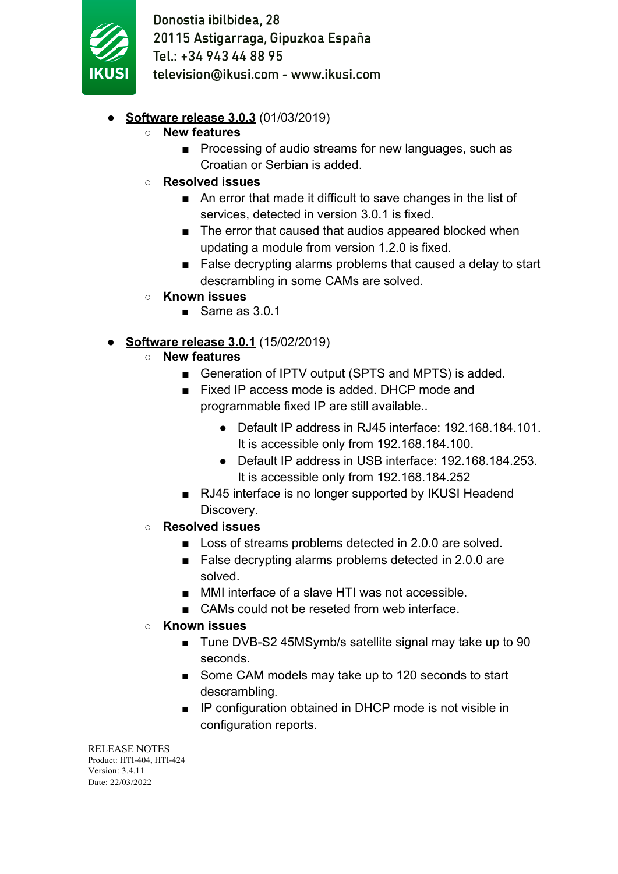

## **Software release 3.0.3 (01/03/2019)**

- **New features**
	- Processing of audio streams for new languages, such as Croatian or Serbian is added.
- **Resolved issues**
	- An error that made it difficult to save changes in the list of services, detected in version 3.0.1 is fixed.
	- The error that caused that audios appeared blocked when updating a module from version 1.2.0 is fixed.
	- False decrypting alarms problems that caused a delay to start descrambling in some CAMs are solved.
- **Known issues**
	- Same as 3.0.1

## **Software release 3.0.1** (15/02/2019)

- **New features**
	- Generation of IPTV output (SPTS and MPTS) is added.
	- Fixed IP access mode is added. DHCP mode and programmable fixed IP are still available..
		- Default IP address in RJ45 interface: 192.168.184.101. It is accessible only from 192.168.184.100.
		- Default IP address in USB interface: 192.168.184.253. It is accessible only from 192.168.184.252
	- RJ45 interface is no longer supported by IKUSI Headend Discovery.
- **Resolved issues**
	- Loss of streams problems detected in 2.0.0 are solved.
	- False decrypting alarms problems detected in 2.0.0 are solved.
	- MMI interface of a slave HTI was not accessible.
	- CAMs could not be reseted from web interface
- **Known issues**
	- Tune DVB-S2 45MSymb/s satellite signal may take up to 90 seconds.
	- Some CAM models may take up to 120 seconds to start descrambling.
	- IP configuration obtained in DHCP mode is not visible in configuration reports.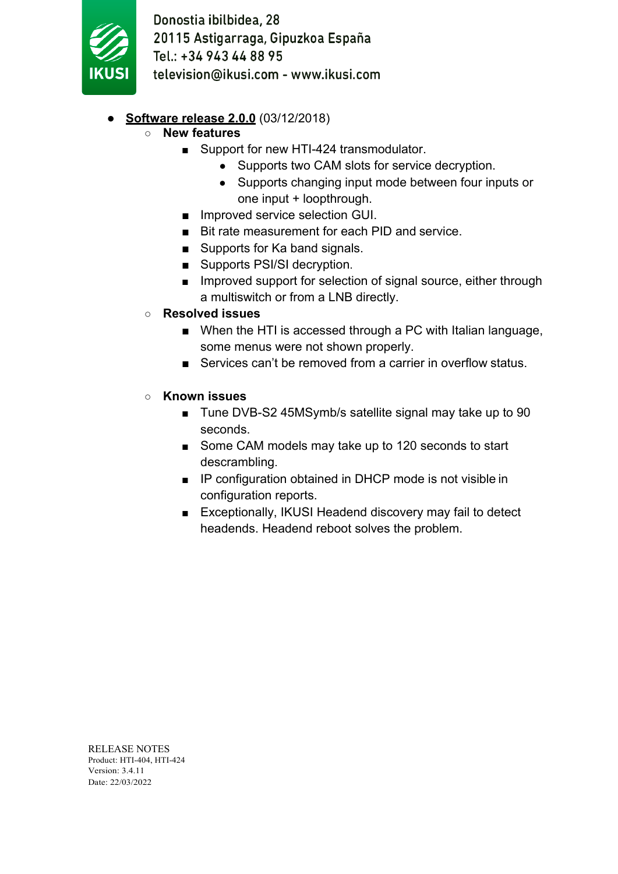

- **Software release 2.0.0** (03/12/2018)
	- **New features**
		- Support for new HTI-424 transmodulator.
			- Supports two CAM slots for service decryption.
			- Supports changing input mode between four inputs or one input + loopthrough.
		- Improved service selection GUI.
		- Bit rate measurement for each PID and service.
		- Supports for Ka band signals.
		- Supports PSI/SI decryption.
		- Improved support for selection of signal source, either through a multiswitch or from a LNB directly.
	- **Resolved issues**
		- When the HTI is accessed through a PC with Italian language, some menus were not shown properly.
		- Services can't be removed from a carrier in overflow status.
	- **Known issues**
		- Tune DVB-S2 45MSymb/s satellite signal may take up to 90 seconds.
		- Some CAM models may take up to 120 seconds to start descrambling.
		- IP configuration obtained in DHCP mode is not visible in configuration reports.
		- Exceptionally, IKUSI Headend discovery may fail to detect headends. Headend reboot solves the problem.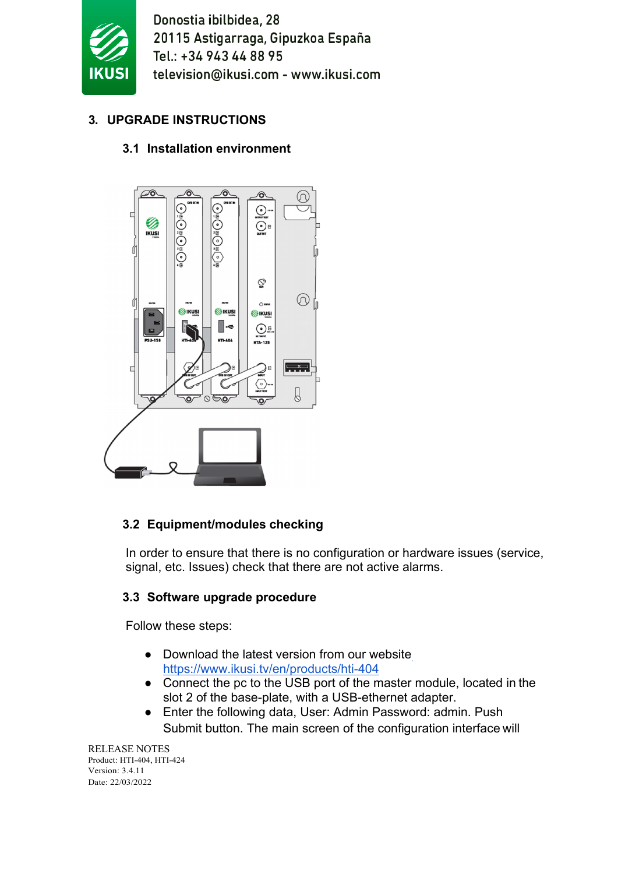

# **3. UPGRADE INSTRUCTIONS**

# **3.1 Installation environment**



# **3.2 Equipment/modules checking**

In order to ensure that there is no configuration or hardware issues (service, signal, etc. Issues) check that there are not active alarms.

## **3.3 Software upgrade procedure**

Follow these steps:

- Download the latest version from our website https:/[/www.ikusi.tv/en/products/hti-404](http://www.ikusi.tv/en/products/hti-404)
- Connect the pc to the USB port of the master module, located in the slot 2 of the base-plate, with a USB-ethernet adapter.
- Enter the following data, User: Admin Password: admin. Push Submit button. The main screen of the configuration interface will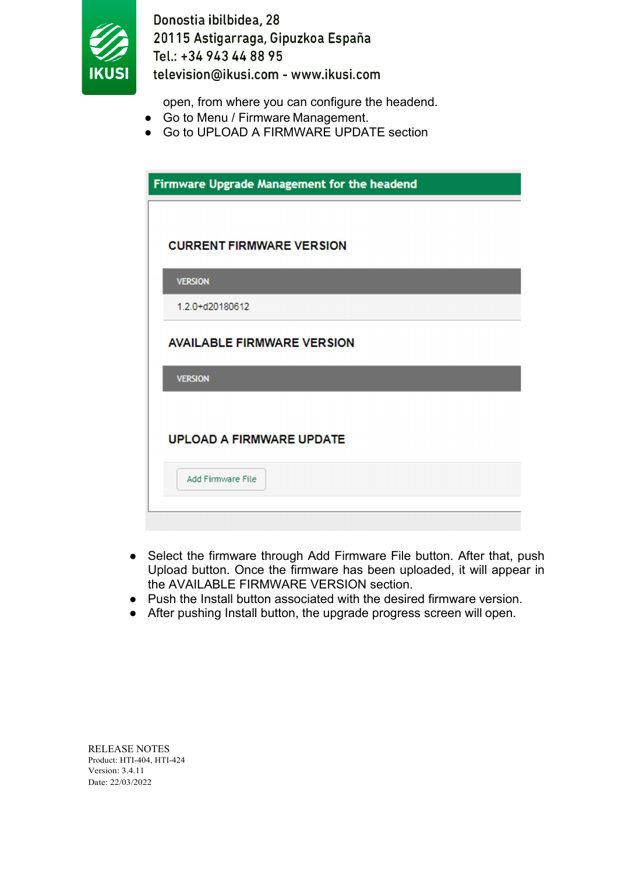

open, from where you can configure the headend.

- Go to Menu / Firmware Management.
- Go to UPLOAD A FIRMWARE UPDATE section

| Firmware Upgrade Management for the headend |
|---------------------------------------------|
|                                             |
| <b>CURRENT FIRMWARE VERSION</b>             |
| <b>VERSION</b>                              |
| 1.2.0+d20180612                             |
| <b>AVAILABLE FIRMWARE VERSION</b>           |
| <b>VERSION</b>                              |
|                                             |
| <b>UPLOAD A FIRMWARE UPDATE</b>             |
| <b>Add Firmware File</b>                    |
|                                             |

- Select the firmware through Add Firmware File button. After that, push Upload button. Once the firmware has been uploaded, it will appear in the AVAILABLE FIRMWARE VERSION section.
- Push the Install button associated with the desired firmware version.
- After pushing Install button, the upgrade progress screen will open.